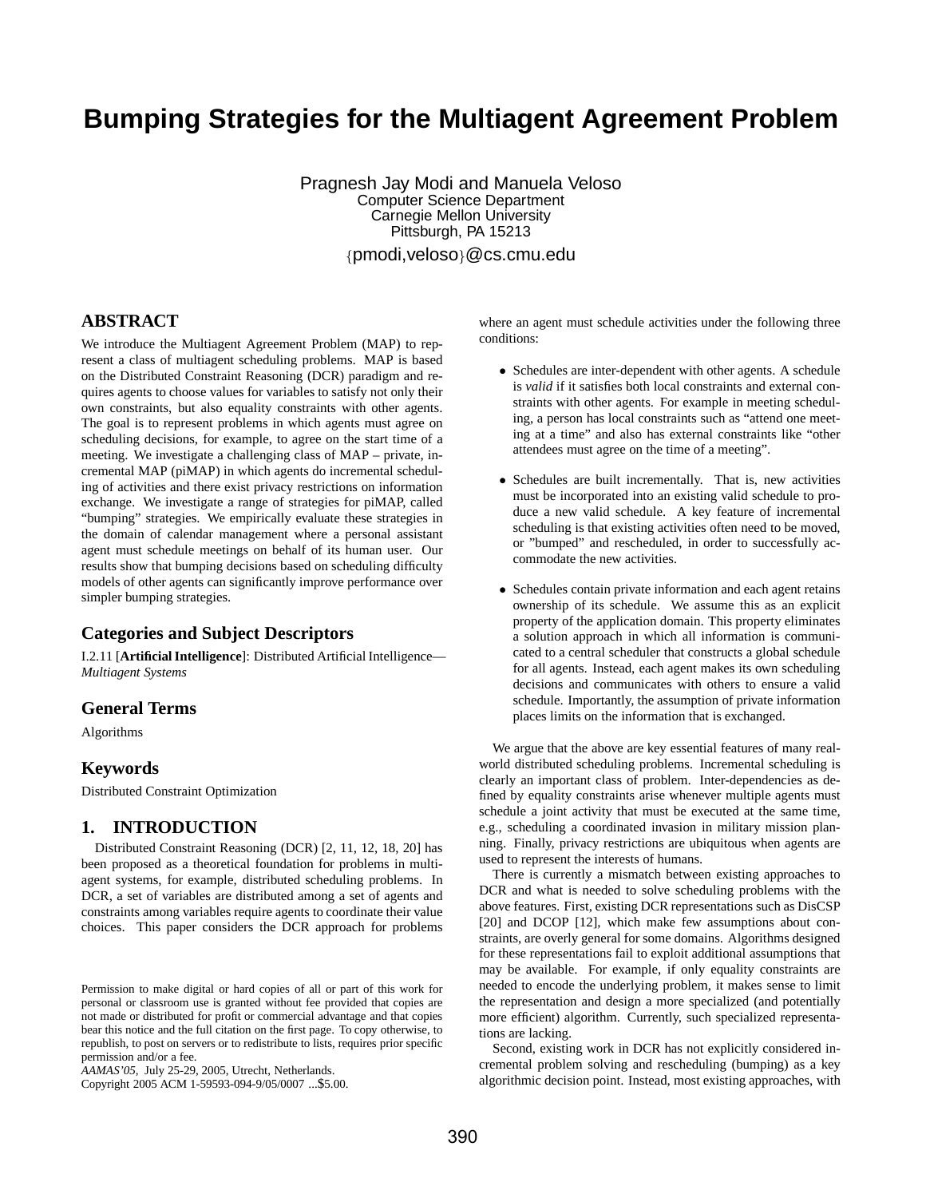# **Bumping Strategies for the Multiagent Agreement Problem**

Pragnesh Jay Modi and Manuela Veloso Computer Science Department Carnegie Mellon University Pittsburgh, PA 15213 {pmodi,veloso}@cs.cmu.edu

**ABSTRACT**

We introduce the Multiagent Agreement Problem (MAP) to represent a class of multiagent scheduling problems. MAP is based on the Distributed Constraint Reasoning (DCR) paradigm and requires agents to choose values for variables to satisfy not only their own constraints, but also equality constraints with other agents. The goal is to represent problems in which agents must agree on scheduling decisions, for example, to agree on the start time of a meeting. We investigate a challenging class of MAP – private, incremental MAP (piMAP) in which agents do incremental scheduling of activities and there exist privacy restrictions on information exchange. We investigate a range of strategies for piMAP, called "bumping" strategies. We empirically evaluate these strategies in the domain of calendar management where a personal assistant agent must schedule meetings on behalf of its human user. Our results show that bumping decisions based on scheduling difficulty models of other agents can significantly improve performance over simpler bumping strategies.

# **Categories and Subject Descriptors**

I.2.11 [**Artificial Intelligence**]: Distributed Artificial Intelligence— *Multiagent Systems*

# **General Terms**

Algorithms

# **Keywords**

Distributed Constraint Optimization

## **1. INTRODUCTION**

Distributed Constraint Reasoning (DCR) [2, 11, 12, 18, 20] has been proposed as a theoretical foundation for problems in multiagent systems, for example, distributed scheduling problems. In DCR, a set of variables are distributed among a set of agents and constraints among variables require agents to coordinate their value choices. This paper considers the DCR approach for problems

Copyright 2005 ACM 1-59593-094-9/05/0007 ...\$5.00.

where an agent must schedule activities under the following three conditions:

- Schedules are inter-dependent with other agents. A schedule is *valid* if it satisfies both local constraints and external constraints with other agents. For example in meeting scheduling, a person has local constraints such as "attend one meeting at a time" and also has external constraints like "other attendees must agree on the time of a meeting".
- Schedules are built incrementally. That is, new activities must be incorporated into an existing valid schedule to produce a new valid schedule. A key feature of incremental scheduling is that existing activities often need to be moved, or "bumped" and rescheduled, in order to successfully accommodate the new activities.
- Schedules contain private information and each agent retains ownership of its schedule. We assume this as an explicit property of the application domain. This property eliminates a solution approach in which all information is communicated to a central scheduler that constructs a global schedule for all agents. Instead, each agent makes its own scheduling decisions and communicates with others to ensure a valid schedule. Importantly, the assumption of private information places limits on the information that is exchanged.

We argue that the above are key essential features of many realworld distributed scheduling problems. Incremental scheduling is clearly an important class of problem. Inter-dependencies as defined by equality constraints arise whenever multiple agents must schedule a joint activity that must be executed at the same time, e.g., scheduling a coordinated invasion in military mission planning. Finally, privacy restrictions are ubiquitous when agents are used to represent the interests of humans.

There is currently a mismatch between existing approaches to DCR and what is needed to solve scheduling problems with the above features. First, existing DCR representations such as DisCSP [20] and DCOP [12], which make few assumptions about constraints, are overly general for some domains. Algorithms designed for these representations fail to exploit additional assumptions that may be available. For example, if only equality constraints are needed to encode the underlying problem, it makes sense to limit the representation and design a more specialized (and potentially more efficient) algorithm. Currently, such specialized representations are lacking.

Second, existing work in DCR has not explicitly considered incremental problem solving and rescheduling (bumping) as a key algorithmic decision point. Instead, most existing approaches, with

Permission to make digital or hard copies of all or part of this work for personal or classroom use is granted without fee provided that copies are not made or distributed for profit or commercial advantage and that copies bear this notice and the full citation on the first page. To copy otherwise, to republish, to post on servers or to redistribute to lists, requires prior specific permission and/or a fee.

*AAMAS'05,* July 25-29, 2005, Utrecht, Netherlands.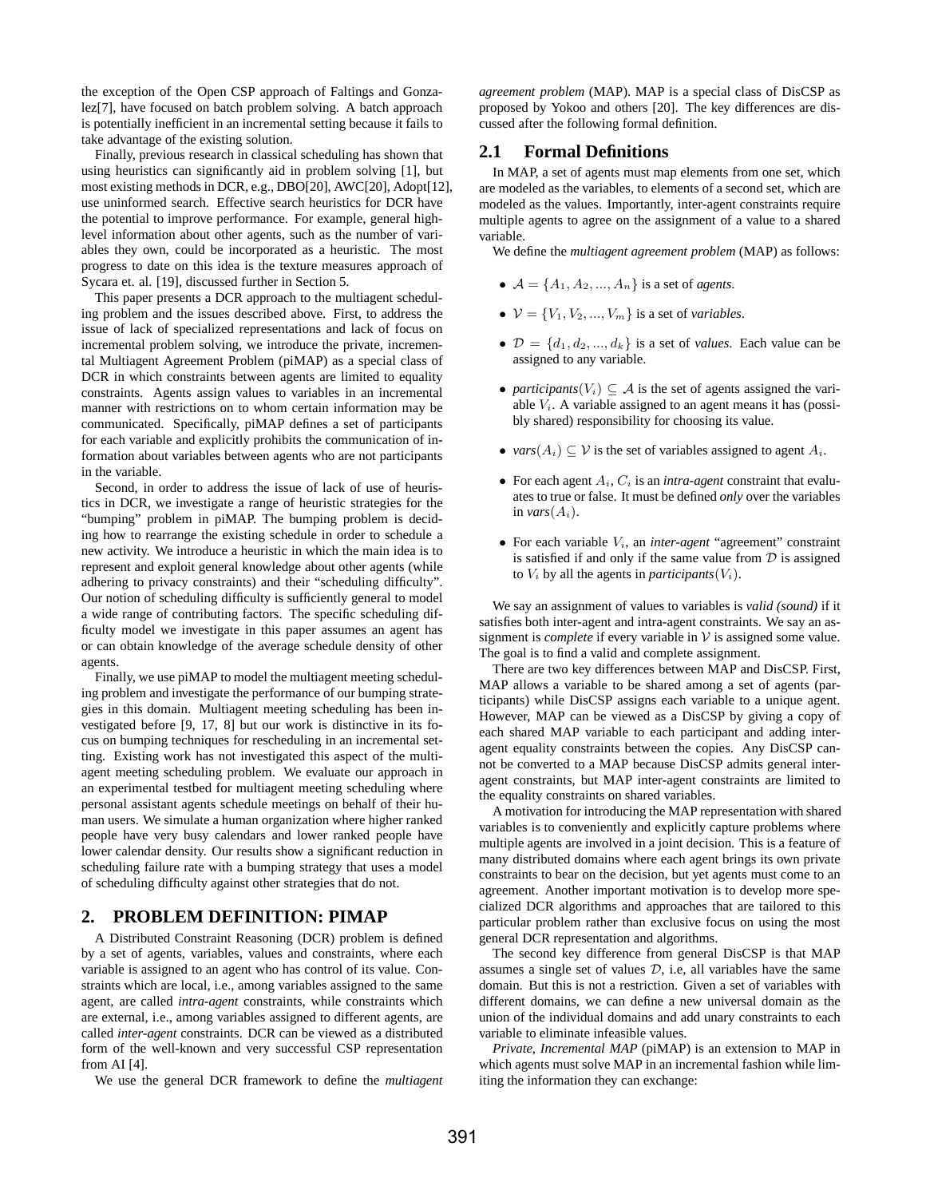the exception of the Open CSP approach of Faltings and Gonzalez[7], have focused on batch problem solving. A batch approach is potentially inefficient in an incremental setting because it fails to take advantage of the existing solution.

Finally, previous research in classical scheduling has shown that using heuristics can significantly aid in problem solving [1], but most existing methods in DCR, e.g., DBO[20], AWC[20], Adopt[12], use uninformed search. Effective search heuristics for DCR have the potential to improve performance. For example, general highlevel information about other agents, such as the number of variables they own, could be incorporated as a heuristic. The most progress to date on this idea is the texture measures approach of Sycara et. al. [19], discussed further in Section 5.

This paper presents a DCR approach to the multiagent scheduling problem and the issues described above. First, to address the issue of lack of specialized representations and lack of focus on incremental problem solving, we introduce the private, incremental Multiagent Agreement Problem (piMAP) as a special class of DCR in which constraints between agents are limited to equality constraints. Agents assign values to variables in an incremental manner with restrictions on to whom certain information may be communicated. Specifically, piMAP defines a set of participants for each variable and explicitly prohibits the communication of information about variables between agents who are not participants in the variable.

Second, in order to address the issue of lack of use of heuristics in DCR, we investigate a range of heuristic strategies for the "bumping" problem in piMAP. The bumping problem is deciding how to rearrange the existing schedule in order to schedule a new activity. We introduce a heuristic in which the main idea is to represent and exploit general knowledge about other agents (while adhering to privacy constraints) and their "scheduling difficulty". Our notion of scheduling difficulty is sufficiently general to model a wide range of contributing factors. The specific scheduling difficulty model we investigate in this paper assumes an agent has or can obtain knowledge of the average schedule density of other agents.

Finally, we use piMAP to model the multiagent meeting scheduling problem and investigate the performance of our bumping strategies in this domain. Multiagent meeting scheduling has been investigated before [9, 17, 8] but our work is distinctive in its focus on bumping techniques for rescheduling in an incremental setting. Existing work has not investigated this aspect of the multiagent meeting scheduling problem. We evaluate our approach in an experimental testbed for multiagent meeting scheduling where personal assistant agents schedule meetings on behalf of their human users. We simulate a human organization where higher ranked people have very busy calendars and lower ranked people have lower calendar density. Our results show a significant reduction in scheduling failure rate with a bumping strategy that uses a model of scheduling difficulty against other strategies that do not.

## **2. PROBLEM DEFINITION: PIMAP**

A Distributed Constraint Reasoning (DCR) problem is defined by a set of agents, variables, values and constraints, where each variable is assigned to an agent who has control of its value. Constraints which are local, i.e., among variables assigned to the same agent, are called *intra-agent* constraints, while constraints which are external, i.e., among variables assigned to different agents, are called *inter-agent* constraints. DCR can be viewed as a distributed form of the well-known and very successful CSP representation from AI [4].

We use the general DCR framework to define the *multiagent*

*agreement problem* (MAP). MAP is a special class of DisCSP as proposed by Yokoo and others [20]. The key differences are discussed after the following formal definition.

## **2.1 Formal Definitions**

In MAP, a set of agents must map elements from one set, which are modeled as the variables, to elements of a second set, which are modeled as the values. Importantly, inter-agent constraints require multiple agents to agree on the assignment of a value to a shared variable.

We define the *multiagent agreement problem* (MAP) as follows:

- $A = \{A_1, A_2, ..., A_n\}$  is a set of *agents*.
- $V = \{V_1, V_2, ..., V_m\}$  is a set of *variables*.
- $\mathcal{D} = \{d_1, d_2, ..., d_k\}$  is a set of *values*. Each value can be assigned to any variable.
- *participants*( $V_i$ )  $\subseteq$  *A* is the set of agents assigned the variable  $V_i$ . A variable assigned to an agent means it has (possibly shared) responsibility for choosing its value.
- *vars* $(A_i) \subseteq V$  is the set of variables assigned to agent  $A_i$ .
- For each agent  $A_i$ ,  $C_i$  is an *intra-agent* constraint that evaluates to true or false. It must be defined *only* over the variables in *vars* $(A_i)$ .
- For each variable Vi, an *inter-agent* "agreement" constraint is satisfied if and only if the same value from  $D$  is assigned to  $V_i$  by all the agents in *participants* $(V_i)$ .

We say an assignment of values to variables is *valid (sound)* if it satisfies both inter-agent and intra-agent constraints. We say an assignment is *complete* if every variable in  $V$  is assigned some value. The goal is to find a valid and complete assignment.

There are two key differences between MAP and DisCSP. First, MAP allows a variable to be shared among a set of agents (participants) while DisCSP assigns each variable to a unique agent. However, MAP can be viewed as a DisCSP by giving a copy of each shared MAP variable to each participant and adding interagent equality constraints between the copies. Any DisCSP cannot be converted to a MAP because DisCSP admits general interagent constraints, but MAP inter-agent constraints are limited to the equality constraints on shared variables.

A motivation for introducing the MAP representation with shared variables is to conveniently and explicitly capture problems where multiple agents are involved in a joint decision. This is a feature of many distributed domains where each agent brings its own private constraints to bear on the decision, but yet agents must come to an agreement. Another important motivation is to develop more specialized DCR algorithms and approaches that are tailored to this particular problem rather than exclusive focus on using the most general DCR representation and algorithms.

The second key difference from general DisCSP is that MAP assumes a single set of values  $D$ , i.e, all variables have the same domain. But this is not a restriction. Given a set of variables with different domains, we can define a new universal domain as the union of the individual domains and add unary constraints to each variable to eliminate infeasible values.

*Private, Incremental MAP* (piMAP) is an extension to MAP in which agents must solve MAP in an incremental fashion while limiting the information they can exchange: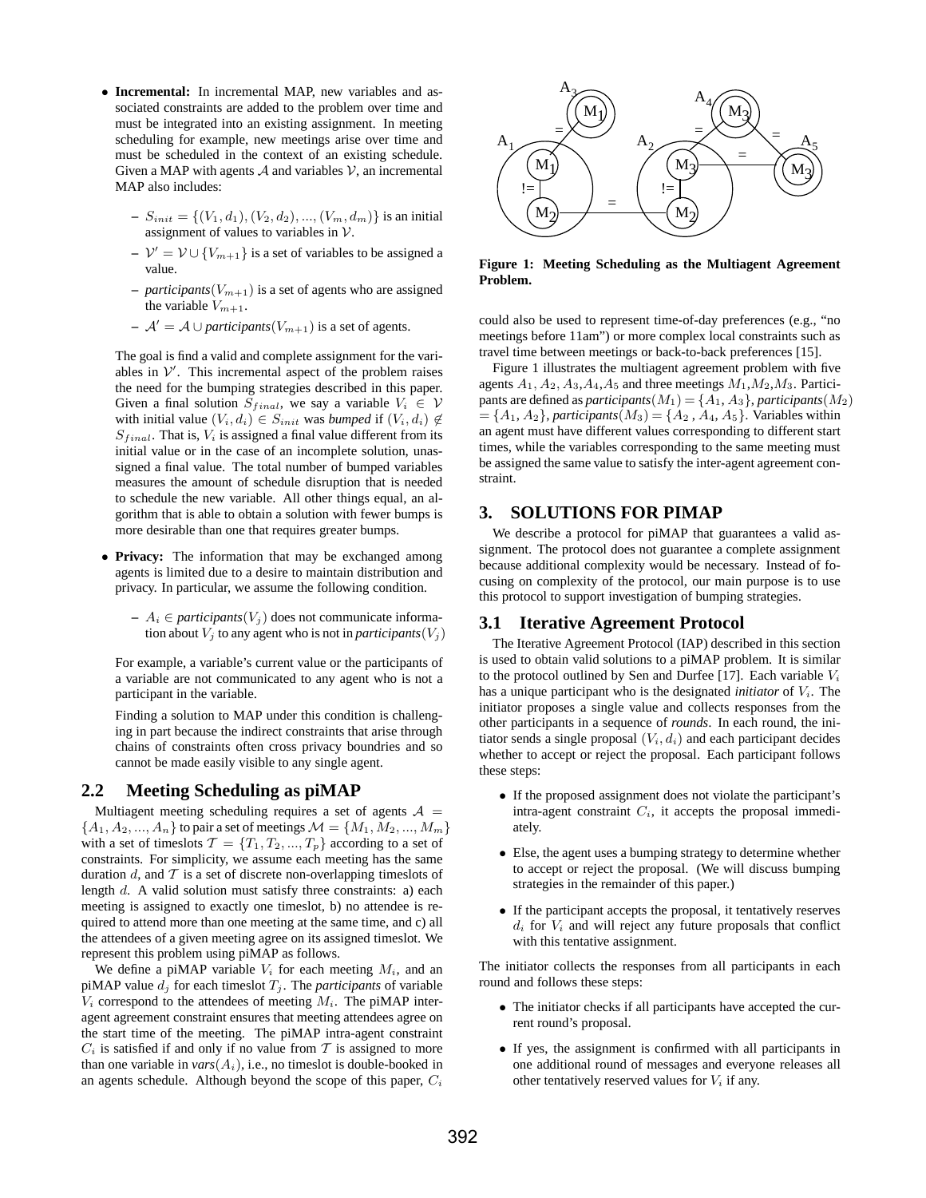- **Incremental:** In incremental MAP, new variables and associated constraints are added to the problem over time and must be integrated into an existing assignment. In meeting scheduling for example, new meetings arise over time and must be scheduled in the context of an existing schedule. Given a MAP with agents  $A$  and variables  $V$ , an incremental MAP also includes:
	- $S_{init} = \{(V_1, d_1), (V_2, d_2), ..., (V_m, d_m)\}\$ is an initial assignment of values to variables in  $V$ .
	- $\mathcal{V}' = \mathcal{V} \cup \{V_{m+1}\}\$ is a set of variables to be assigned a value.
	- $–$  *participants*( $V_{m+1}$ ) is a set of agents who are assigned the variable  $V_{m+1}$ .
	- $\mathcal{A}' = \mathcal{A} \cup$  *participants*( $V_{m+1}$ ) is a set of agents.

The goal is find a valid and complete assignment for the variables in  $V'$ . This incremental aspect of the problem raises the need for the bumping strategies described in this paper. Given a final solution  $S_{final}$ , we say a variable  $V_i \in V$ with initial value  $(V_i, d_i) \in S_{init}$  was *bumped* if  $(V_i, d_i) \notin$  $S_{final}$ . That is,  $V_i$  is assigned a final value different from its initial value or in the case of an incomplete solution, unassigned a final value. The total number of bumped variables measures the amount of schedule disruption that is needed to schedule the new variable. All other things equal, an algorithm that is able to obtain a solution with fewer bumps is more desirable than one that requires greater bumps.

- **Privacy:** The information that may be exchanged among agents is limited due to a desire to maintain distribution and privacy. In particular, we assume the following condition.
	- $− A_i ∈$  *participants*( $V_i$ ) does not communicate information about  $V_i$  to any agent who is not in *participants* $(V_i)$

For example, a variable's current value or the participants of a variable are not communicated to any agent who is not a participant in the variable.

Finding a solution to MAP under this condition is challenging in part because the indirect constraints that arise through chains of constraints often cross privacy boundries and so cannot be made easily visible to any single agent.

## **2.2 Meeting Scheduling as piMAP**

Multiagent meeting scheduling requires a set of agents  $A =$  ${A_1, A_2, ..., A_n}$  to pair a set of meetings  $\mathcal{M} = \{M_1, M_2, ..., M_m\}$ with a set of timeslots  $\mathcal{T} = \{T_1, T_2, ..., T_p\}$  according to a set of constraints. For simplicity, we assume each meeting has the same duration  $d$ , and  $T$  is a set of discrete non-overlapping timeslots of length d. A valid solution must satisfy three constraints: a) each meeting is assigned to exactly one timeslot, b) no attendee is required to attend more than one meeting at the same time, and c) all the attendees of a given meeting agree on its assigned timeslot. We represent this problem using piMAP as follows.

We define a piMAP variable  $V_i$  for each meeting  $M_i$ , and an piMAP value  $d_i$  for each timeslot  $T_i$ . The *participants* of variable  $V_i$  correspond to the attendees of meeting  $M_i$ . The piMAP interagent agreement constraint ensures that meeting attendees agree on the start time of the meeting. The piMAP intra-agent constraint  $C_i$  is satisfied if and only if no value from  $\mathcal T$  is assigned to more than one variable in  $vars(A_i)$ , i.e., no timeslot is double-booked in an agents schedule. Although beyond the scope of this paper,  $C_i$ 



**Figure 1: Meeting Scheduling as the Multiagent Agreement Problem.**

could also be used to represent time-of-day preferences (e.g., "no meetings before 11am") or more complex local constraints such as travel time between meetings or back-to-back preferences [15].

Figure 1 illustrates the multiagent agreement problem with five agents  $A_1$ ,  $A_2$ ,  $A_3$ ,  $A_4$ ,  $A_5$  and three meetings  $M_1$ ,  $M_2$ ,  $M_3$ . Participants are defined as *participants* $(M_1) = \{A_1, A_3\}$ , *participants* $(M_2)$  $=\{A_1, A_2\}$ , *participants* $(M_3) = \{A_2, A_4, A_5\}$ . Variables within an agent must have different values corresponding to different start times, while the variables corresponding to the same meeting must be assigned the same value to satisfy the inter-agent agreement constraint.

## **3. SOLUTIONS FOR PIMAP**

We describe a protocol for piMAP that guarantees a valid assignment. The protocol does not guarantee a complete assignment because additional complexity would be necessary. Instead of focusing on complexity of the protocol, our main purpose is to use this protocol to support investigation of bumping strategies.

## **3.1 Iterative Agreement Protocol**

The Iterative Agreement Protocol (IAP) described in this section is used to obtain valid solutions to a piMAP problem. It is similar to the protocol outlined by Sen and Durfee [17]. Each variable  $V_i$ has a unique participant who is the designated *initiator* of  $V_i$ . The initiator proposes a single value and collects responses from the other participants in a sequence of *rounds*. In each round, the initiator sends a single proposal  $(V_i, d_i)$  and each participant decides whether to accept or reject the proposal. Each participant follows these steps:

- If the proposed assignment does not violate the participant's intra-agent constraint  $C_i$ , it accepts the proposal immediately.
- Else, the agent uses a bumping strategy to determine whether to accept or reject the proposal. (We will discuss bumping strategies in the remainder of this paper.)
- If the participant accepts the proposal, it tentatively reserves  $d_i$  for  $V_i$  and will reject any future proposals that conflict with this tentative assignment.

The initiator collects the responses from all participants in each round and follows these steps:

- The initiator checks if all participants have accepted the current round's proposal.
- If yes, the assignment is confirmed with all participants in one additional round of messages and everyone releases all other tentatively reserved values for  $V_i$  if any.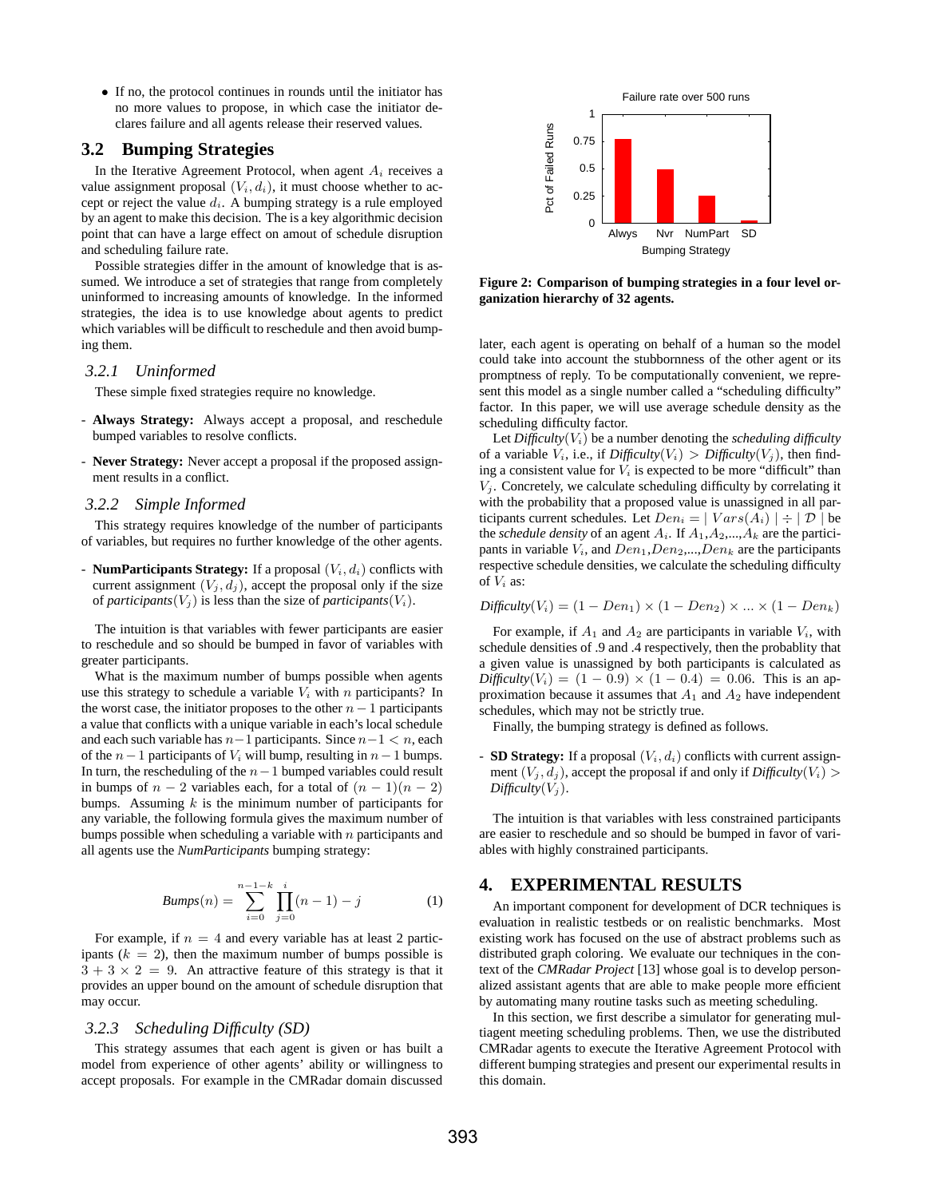• If no, the protocol continues in rounds until the initiator has no more values to propose, in which case the initiator declares failure and all agents release their reserved values.

# **3.2 Bumping Strategies**

In the Iterative Agreement Protocol, when agent  $A_i$  receives a value assignment proposal  $(V_i, d_i)$ , it must choose whether to accept or reject the value  $d_i$ . A bumping strategy is a rule employed by an agent to make this decision. The is a key algorithmic decision point that can have a large effect on amout of schedule disruption and scheduling failure rate.

Possible strategies differ in the amount of knowledge that is assumed. We introduce a set of strategies that range from completely uninformed to increasing amounts of knowledge. In the informed strategies, the idea is to use knowledge about agents to predict which variables will be difficult to reschedule and then avoid bumping them.

#### *3.2.1 Uninformed*

These simple fixed strategies require no knowledge.

- **Always Strategy:** Always accept a proposal, and reschedule bumped variables to resolve conflicts.
- **Never Strategy:** Never accept a proposal if the proposed assignment results in a conflict.

#### *3.2.2 Simple Informed*

This strategy requires knowledge of the number of participants of variables, but requires no further knowledge of the other agents.

- **NumParticipants Strategy:** If a proposal  $(V_i, d_i)$  conflicts with current assignment  $(V_j, d_j)$ , accept the proposal only if the size of *participants* $(V_i)$  is less than the size of *participants* $(V_i)$ .

The intuition is that variables with fewer participants are easier to reschedule and so should be bumped in favor of variables with greater participants.

What is the maximum number of bumps possible when agents use this strategy to schedule a variable  $V_i$  with n participants? In the worst case, the initiator proposes to the other  $n-1$  participants a value that conflicts with a unique variable in each's local schedule and each such variable has  $n-1$  participants. Since  $n-1 < n$ , each of the  $n-1$  participants of  $V_i$  will bump, resulting in  $n-1$  bumps. In turn, the rescheduling of the  $n-1$  bumped variables could result in bumps of  $n-2$  variables each, for a total of  $(n-1)(n-2)$ bumps. Assuming  $k$  is the minimum number of participants for any variable, the following formula gives the maximum number of bumps possible when scheduling a variable with  $n$  participants and all agents use the *NumParticipants* bumping strategy:

$$
Bumps(n) = \sum_{i=0}^{n-1-k} \prod_{j=0}^{i} (n-1) - j \tag{1}
$$

For example, if  $n = 4$  and every variable has at least 2 participants  $(k = 2)$ , then the maximum number of bumps possible is  $3 + 3 \times 2 = 9$ . An attractive feature of this strategy is that it provides an upper bound on the amount of schedule disruption that may occur.

#### *3.2.3 Scheduling Difficulty (SD)*

This strategy assumes that each agent is given or has built a model from experience of other agents' ability or willingness to accept proposals. For example in the CMRadar domain discussed



**Figure 2: Comparison of bumping strategies in a four level organization hierarchy of 32 agents.**

later, each agent is operating on behalf of a human so the model could take into account the stubbornness of the other agent or its promptness of reply. To be computationally convenient, we represent this model as a single number called a "scheduling difficulty" factor. In this paper, we will use average schedule density as the scheduling difficulty factor.

Let  $Difficulty(V_i)$  be a number denoting the *scheduling difficulty* of a variable  $V_i$ , i.e., if  $Difficulty(V_i) > Difficulty(V_i)$ , then finding a consistent value for  $V_i$  is expected to be more "difficult" than  $V_i$ . Concretely, we calculate scheduling difficulty by correlating it with the probability that a proposed value is unassigned in all participants current schedules. Let  $Den_i = | Vars(A_i)| \div | \mathcal{D} |$  be the *schedule density* of an agent  $A_i$ . If  $A_1, A_2, ..., A_k$  are the participants in variable  $V_i$ , and  $Den_1, Den_2,...,Den_k$  are the participants respective schedule densities, we calculate the scheduling difficulty of  $V_i$  as:

$$
Difficulty(V_i) = (1 - Den_1) \times (1 - Den_2) \times ... \times (1 - Den_k)
$$

For example, if  $A_1$  and  $A_2$  are participants in variable  $V_i$ , with schedule densities of .9 and .4 respectively, then the probablity that a given value is unassigned by both participants is calculated as  $Difficulty(V_i) = (1 - 0.9) \times (1 - 0.4) = 0.06$ . This is an approximation because it assumes that  $A_1$  and  $A_2$  have independent schedules, which may not be strictly true.

Finally, the bumping strategy is defined as follows.

- **SD Strategy:** If a proposal  $(V_i, d_i)$  conflicts with current assignment  $(V_j, d_j)$ , accept the proposal if and only if *Difficulty* $(V_i)$  $Difficulty(V_j)$ .

The intuition is that variables with less constrained participants are easier to reschedule and so should be bumped in favor of variables with highly constrained participants.

## **4. EXPERIMENTAL RESULTS**

An important component for development of DCR techniques is evaluation in realistic testbeds or on realistic benchmarks. Most existing work has focused on the use of abstract problems such as distributed graph coloring. We evaluate our techniques in the context of the *CMRadar Project* [13] whose goal is to develop personalized assistant agents that are able to make people more efficient by automating many routine tasks such as meeting scheduling.

In this section, we first describe a simulator for generating multiagent meeting scheduling problems. Then, we use the distributed CMRadar agents to execute the Iterative Agreement Protocol with different bumping strategies and present our experimental results in this domain.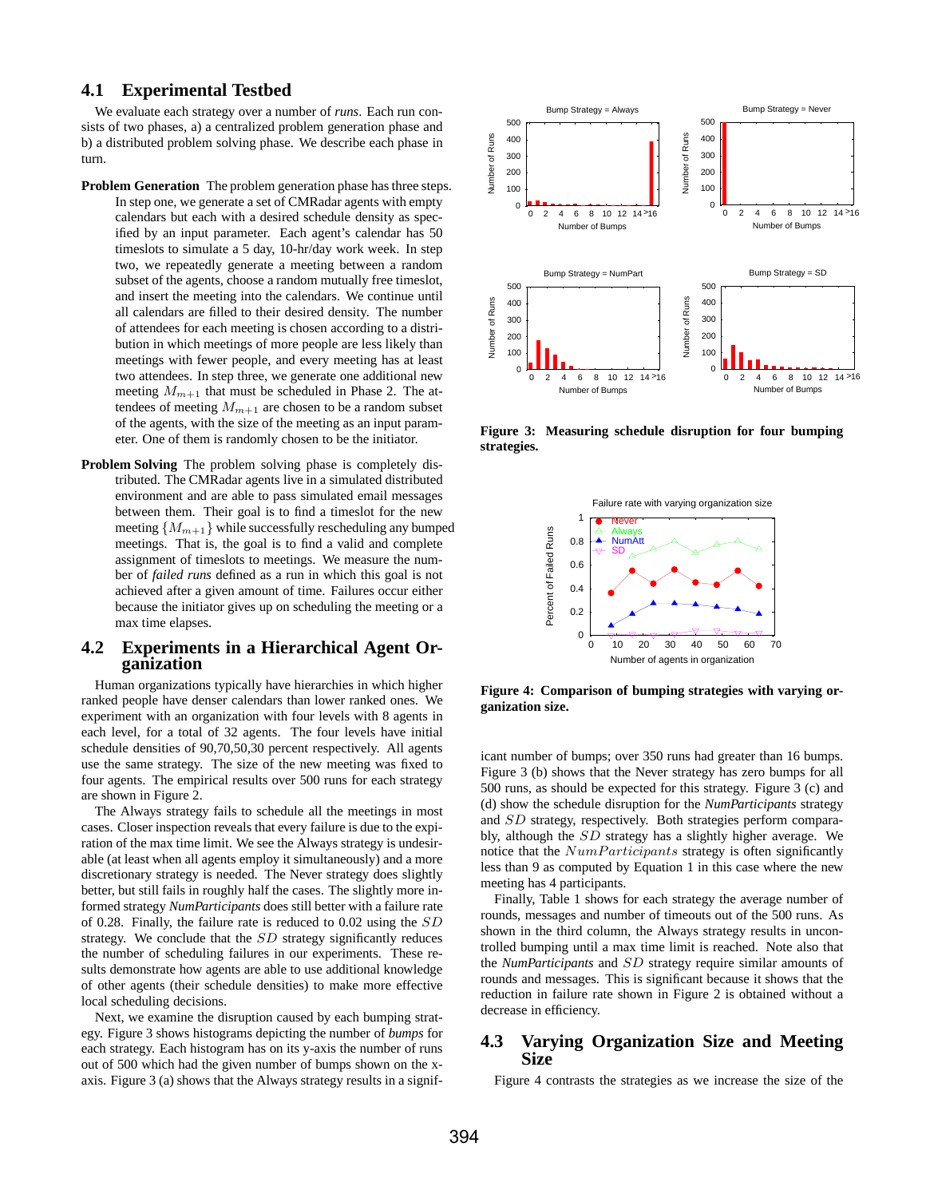## **4.1 Experimental Testbed**

We evaluate each strategy over a number of *runs*. Each run consists of two phases, a) a centralized problem generation phase and b) a distributed problem solving phase. We describe each phase in turn.

- **Problem Generation** The problem generation phase has three steps. In step one, we generate a set of CMRadar agents with empty calendars but each with a desired schedule density as specified by an input parameter. Each agent's calendar has 50 timeslots to simulate a 5 day, 10-hr/day work week. In step two, we repeatedly generate a meeting between a random subset of the agents, choose a random mutually free timeslot, and insert the meeting into the calendars. We continue until all calendars are filled to their desired density. The number of attendees for each meeting is chosen according to a distribution in which meetings of more people are less likely than meetings with fewer people, and every meeting has at least two attendees. In step three, we generate one additional new meeting  $M_{m+1}$  that must be scheduled in Phase 2. The attendees of meeting  $M_{m+1}$  are chosen to be a random subset of the agents, with the size of the meeting as an input parameter. One of them is randomly chosen to be the initiator.
- **Problem Solving** The problem solving phase is completely distributed. The CMRadar agents live in a simulated distributed environment and are able to pass simulated email messages between them. Their goal is to find a timeslot for the new meeting  ${M_{m+1}}$  while successfully rescheduling any bumped meetings. That is, the goal is to find a valid and complete assignment of timeslots to meetings. We measure the number of *failed runs* defined as a run in which this goal is not achieved after a given amount of time. Failures occur either because the initiator gives up on scheduling the meeting or a max time elapses.

## **4.2 Experiments in a Hierarchical Agent Organization**

Human organizations typically have hierarchies in which higher ranked people have denser calendars than lower ranked ones. We experiment with an organization with four levels with 8 agents in each level, for a total of 32 agents. The four levels have initial schedule densities of 90,70,50,30 percent respectively. All agents use the same strategy. The size of the new meeting was fixed to four agents. The empirical results over 500 runs for each strategy are shown in Figure 2.

The Always strategy fails to schedule all the meetings in most cases. Closer inspection reveals that every failure is due to the expiration of the max time limit. We see the Always strategy is undesirable (at least when all agents employ it simultaneously) and a more discretionary strategy is needed. The Never strategy does slightly better, but still fails in roughly half the cases. The slightly more informed strategy *NumParticipants* does still better with a failure rate of 0.28. Finally, the failure rate is reduced to 0.02 using the SD strategy. We conclude that the SD strategy significantly reduces the number of scheduling failures in our experiments. These results demonstrate how agents are able to use additional knowledge of other agents (their schedule densities) to make more effective local scheduling decisions.

Next, we examine the disruption caused by each bumping strategy. Figure 3 shows histograms depicting the number of *bumps* for each strategy. Each histogram has on its y-axis the number of runs out of 500 which had the given number of bumps shown on the xaxis. Figure 3 (a) shows that the Always strategy results in a signif-



**Figure 3: Measuring schedule disruption for four bumping strategies.**



**Figure 4: Comparison of bumping strategies with varying organization size.**

icant number of bumps; over 350 runs had greater than 16 bumps. Figure 3 (b) shows that the Never strategy has zero bumps for all 500 runs, as should be expected for this strategy. Figure 3 (c) and (d) show the schedule disruption for the *NumParticipants* strategy and SD strategy, respectively. Both strategies perform comparably, although the SD strategy has a slightly higher average. We notice that the  $NumParticipants$  strategy is often significantly less than 9 as computed by Equation 1 in this case where the new meeting has 4 participants.

Finally, Table 1 shows for each strategy the average number of rounds, messages and number of timeouts out of the 500 runs. As shown in the third column, the Always strategy results in uncontrolled bumping until a max time limit is reached. Note also that the *NumParticipants* and SD strategy require similar amounts of rounds and messages. This is significant because it shows that the reduction in failure rate shown in Figure 2 is obtained without a decrease in efficiency.

## **4.3 Varying Organization Size and Meeting Size**

Figure 4 contrasts the strategies as we increase the size of the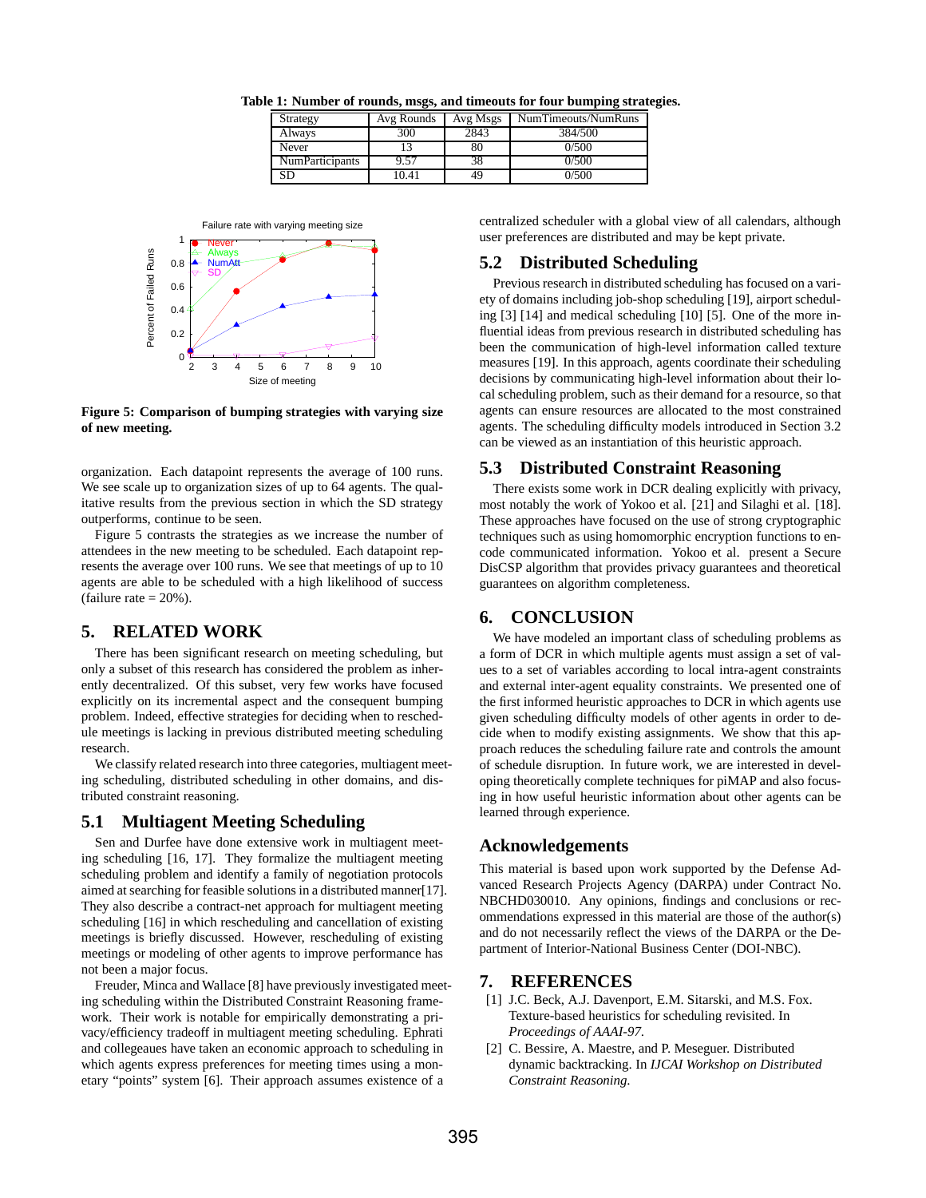| Strategy               | Avg Rounds | Avg Msgs | NumTimeouts/NumRuns |
|------------------------|------------|----------|---------------------|
| Always                 | 300        | 2843     | 384/500             |
| Never                  |            | 80       | 0/500               |
| <b>NumParticipants</b> | 9.57       | 38       | 0/500               |
| SD                     | 10.41      | 49       | 0/500               |

**Table 1: Number of rounds, msgs, and timeouts for four bumping strategies.**



**Figure 5: Comparison of bumping strategies with varying size of new meeting.**

organization. Each datapoint represents the average of 100 runs. We see scale up to organization sizes of up to 64 agents. The qualitative results from the previous section in which the SD strategy outperforms, continue to be seen.

Figure 5 contrasts the strategies as we increase the number of attendees in the new meeting to be scheduled. Each datapoint represents the average over 100 runs. We see that meetings of up to 10 agents are able to be scheduled with a high likelihood of success (failure rate  $= 20\%$ ).

# **5. RELATED WORK**

There has been significant research on meeting scheduling, but only a subset of this research has considered the problem as inherently decentralized. Of this subset, very few works have focused explicitly on its incremental aspect and the consequent bumping problem. Indeed, effective strategies for deciding when to reschedule meetings is lacking in previous distributed meeting scheduling research.

We classify related research into three categories, multiagent meeting scheduling, distributed scheduling in other domains, and distributed constraint reasoning.

# **5.1 Multiagent Meeting Scheduling**

Sen and Durfee have done extensive work in multiagent meeting scheduling [16, 17]. They formalize the multiagent meeting scheduling problem and identify a family of negotiation protocols aimed at searching for feasible solutions in a distributed manner[17]. They also describe a contract-net approach for multiagent meeting scheduling [16] in which rescheduling and cancellation of existing meetings is briefly discussed. However, rescheduling of existing meetings or modeling of other agents to improve performance has not been a major focus.

Freuder, Minca and Wallace [8] have previously investigated meeting scheduling within the Distributed Constraint Reasoning framework. Their work is notable for empirically demonstrating a privacy/efficiency tradeoff in multiagent meeting scheduling. Ephrati and collegeaues have taken an economic approach to scheduling in which agents express preferences for meeting times using a monetary "points" system [6]. Their approach assumes existence of a

centralized scheduler with a global view of all calendars, although user preferences are distributed and may be kept private.

# **5.2 Distributed Scheduling**

Previous research in distributed scheduling has focused on a variety of domains including job-shop scheduling [19], airport scheduling [3] [14] and medical scheduling [10] [5]. One of the more influential ideas from previous research in distributed scheduling has been the communication of high-level information called texture measures [19]. In this approach, agents coordinate their scheduling decisions by communicating high-level information about their local scheduling problem, such as their demand for a resource, so that agents can ensure resources are allocated to the most constrained agents. The scheduling difficulty models introduced in Section 3.2 can be viewed as an instantiation of this heuristic approach.

#### **5.3 Distributed Constraint Reasoning**

There exists some work in DCR dealing explicitly with privacy, most notably the work of Yokoo et al. [21] and Silaghi et al. [18]. These approaches have focused on the use of strong cryptographic techniques such as using homomorphic encryption functions to encode communicated information. Yokoo et al. present a Secure DisCSP algorithm that provides privacy guarantees and theoretical guarantees on algorithm completeness.

# **6. CONCLUSION**

We have modeled an important class of scheduling problems as a form of DCR in which multiple agents must assign a set of values to a set of variables according to local intra-agent constraints and external inter-agent equality constraints. We presented one of the first informed heuristic approaches to DCR in which agents use given scheduling difficulty models of other agents in order to decide when to modify existing assignments. We show that this approach reduces the scheduling failure rate and controls the amount of schedule disruption. In future work, we are interested in developing theoretically complete techniques for piMAP and also focusing in how useful heuristic information about other agents can be learned through experience.

## **Acknowledgements**

This material is based upon work supported by the Defense Advanced Research Projects Agency (DARPA) under Contract No. NBCHD030010. Any opinions, findings and conclusions or recommendations expressed in this material are those of the author(s) and do not necessarily reflect the views of the DARPA or the Department of Interior-National Business Center (DOI-NBC).

## **7. REFERENCES**

- [1] J.C. Beck, A.J. Davenport, E.M. Sitarski, and M.S. Fox. Texture-based heuristics for scheduling revisited. In *Proceedings of AAAI-97*.
- [2] C. Bessire, A. Maestre, and P. Meseguer. Distributed dynamic backtracking. In *IJCAI Workshop on Distributed Constraint Reasoning*.